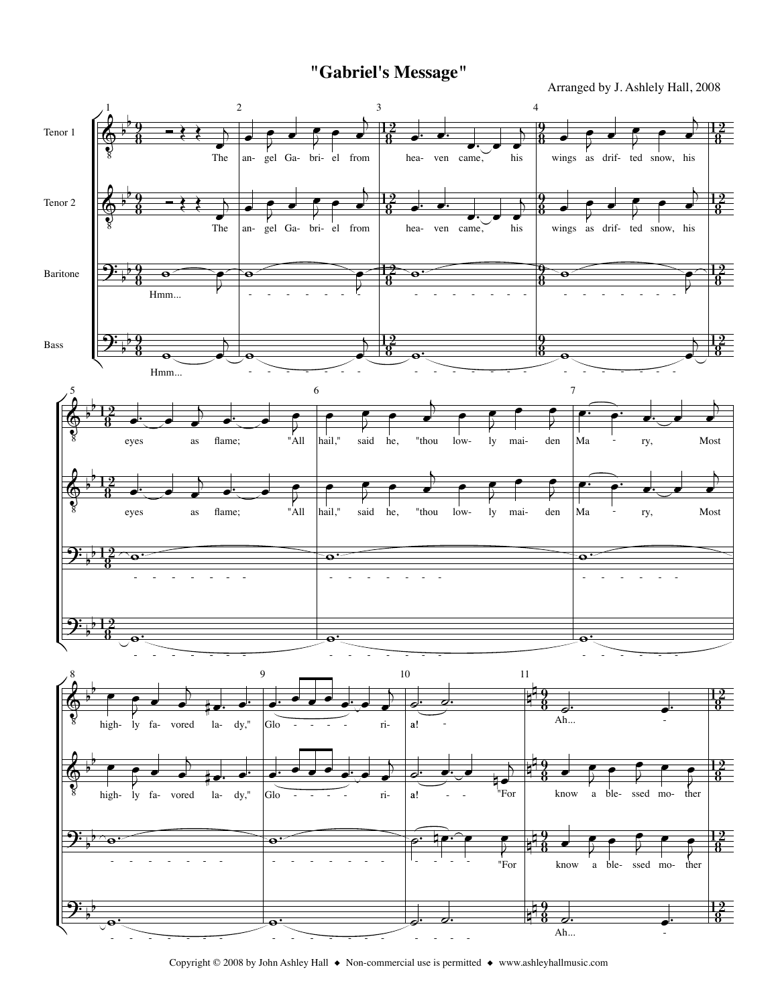## "Gabriel's Message"

Arranged by J. Ashlely Hall, 2008



Copyright © 2008 by John Ashley Hall  $\bullet$  Non-commercial use is permitted  $\bullet$  www.ashleyhallmusic.com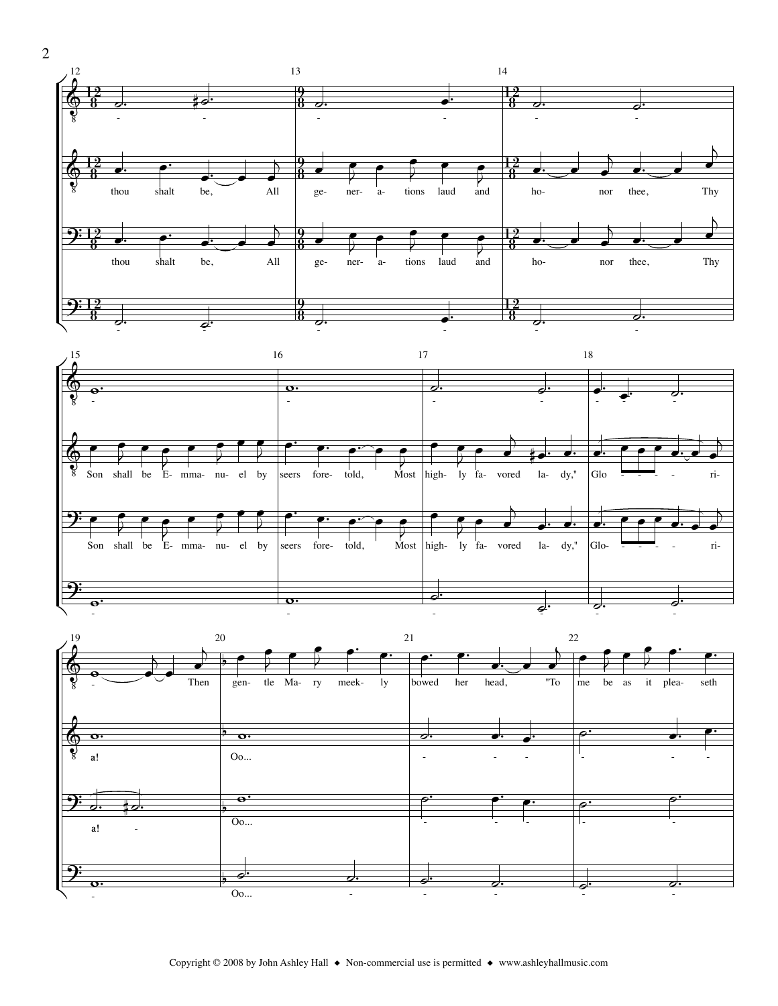





 $\overline{2}$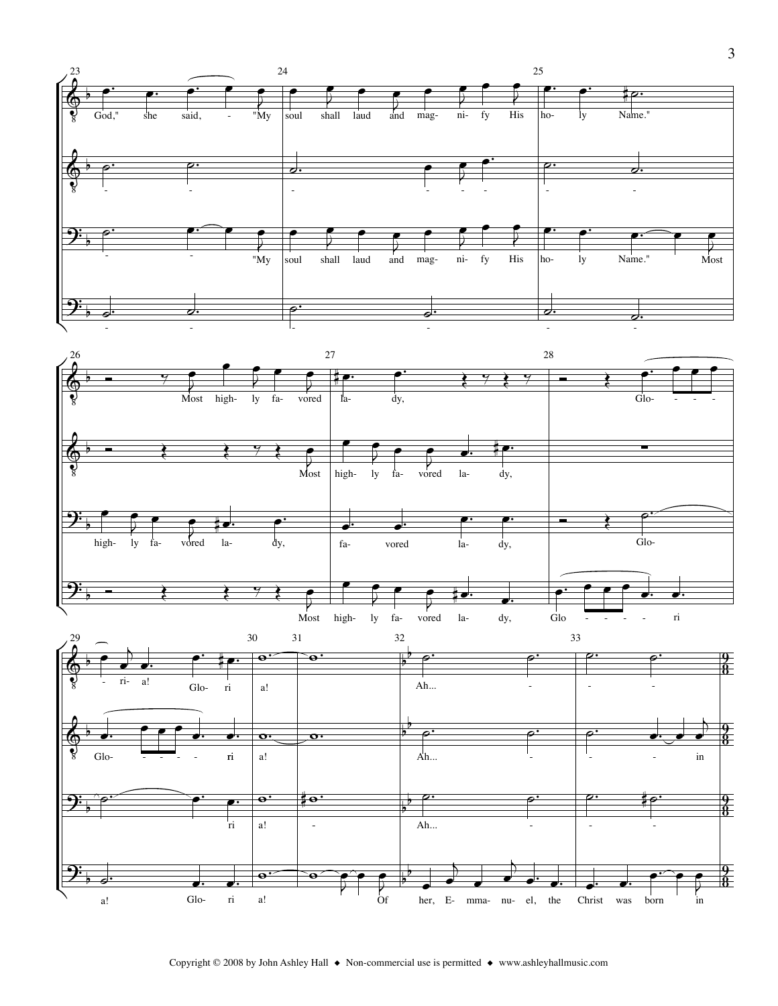





Copyright © 2008 by John Ashley Hall  $\;\blacklozenge\;$  Non-commercial use is permitted  $\;\blacklozenge\;$  www.ashleyhallmusic.com